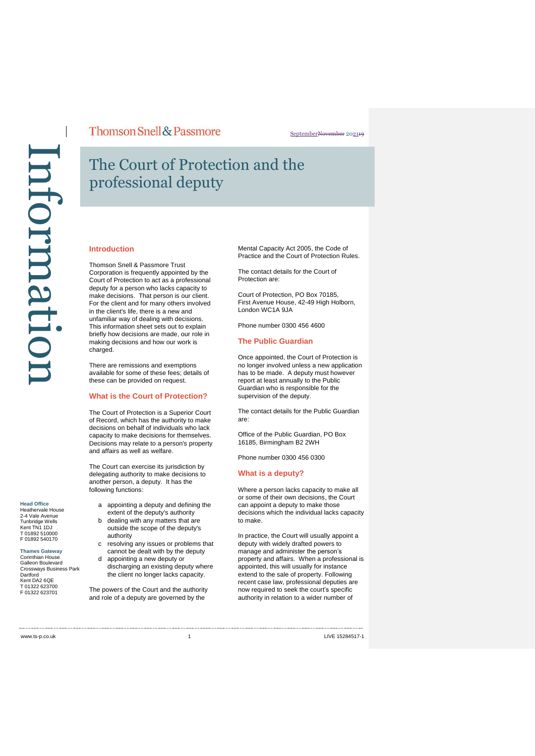# The Court of Protection and the professional deputy

#### **Introduction**

Thomson Snell & Passmore Trust Corporation is frequently appointed by the Court of Protection to act as a professional deputy for a person who lacks capacity to make decisions. That person is our client. For the client and for many others involved in the client's life, there is a new and unfamiliar way of dealing with decisions. This information sheet sets out to explain briefly how decisions are made, our role in making decisions and how our work is charged.

There are remissions and exemptions available for some of these fees; details of these can be provided on request.

### **What is the Court of Protection?**

The Court of Protection is a Superior Court of Record, which has the authority to make decisions on behalf of individuals who lack capacity to make decisions for themselves. Decisions may relate to a person's property and affairs as well as welfare.

The Court can exercise its jurisdiction by delegating authority to make decisions to another person, a deputy. It has the following functions:

- a appointing a deputy and defining the extent of the deputy's authority
- b dealing with any matters that are outside the scope of the deputy's
- authority c resolving any issues or problems that
- cannot be dealt with by the deputy d appointing a new deputy or discharging an existing deputy where

the client no longer lacks capacity. The powers of the Court and the authority and role of a deputy are governed by the

Mental Capacity Act 2005, the Code of Practice and the Court of Protection Rules.

The contact details for the Court of Protection are:

Court of Protection, PO Box 70185, First Avenue House, 42-49 High Holborn, London WC1A 9JA

Phone number 0300 456 4600

### **The Public Guardian**

Once appointed, the Court of Protection is no longer involved unless a new application has to be made. A deputy must however report at least annually to the Public Guardian who is responsible for the supervision of the deputy.

The contact details for the Public Guardian are:

Office of the Public Guardian, PO Box 16185, Birmingham B2 2WH

Phone number 0300 456 0300

#### **What is a deputy?**

Where a person lacks capacity to make all or some of their own decisions, the Court can appoint a deputy to make those decisions which the individual lacks capacity to make.

In practice, the Court will usually appoint a deputy with widely drafted powers to manage and administer the person's property and affairs. When a professional is appointed, this will usually for instance extend to the sale of property. Following recent case law, professional deputies are now required to seek the court's specific authority in relation to a wider number of

**Head Office** Heathervale House 2-4 Vale Avenue Tunbridge Wells Kent TN1 1DJ T 01892 510000 F 01892 540170 **Thames Gateway** Corinthian House Galleon Boulevard Crossways Business Park Dartford Kent DA2 6QE T 01322 623700 F 01322 623701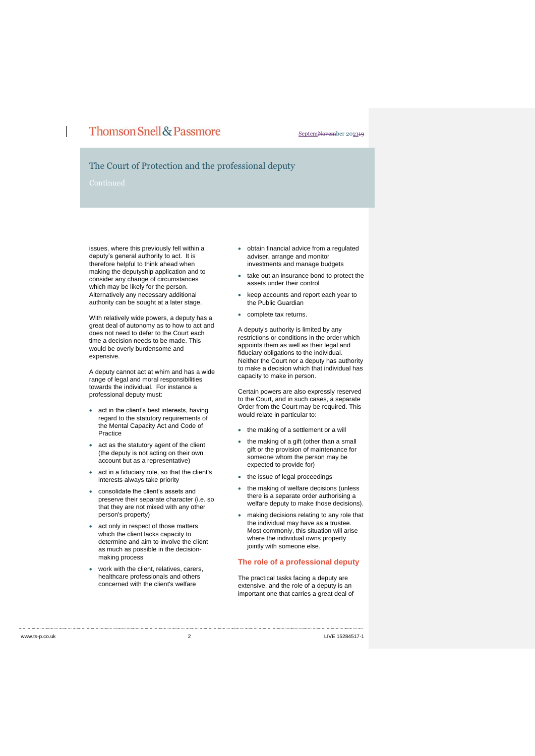### SeptemNovember 202119

## The Court of Protection and the professional deputy

issues, where this previously fell within a deputy's general authority to act. It is therefore helpful to think ahead when making the deputyship application and to consider any change of circumstances which may be likely for the person. Alternatively any necessary additional authority can be sought at a later stage.

With relatively wide powers, a deputy has a great deal of autonomy as to how to act and does not need to defer to the Court each time a decision needs to be made. This would be overly burdensome and expensive.

A deputy cannot act at whim and has a wide range of legal and moral responsibilities towards the individual. For instance a professional deputy must:

- act in the client's best interests, having regard to the statutory requirements of the Mental Capacity Act and Code of Practice
- act as the statutory agent of the client (the deputy is not acting on their own account but as a representative)
- act in a fiduciary role, so that the client's interests always take priority
- consolidate the client's assets and preserve their separate character (i.e. so that they are not mixed with any other person's property)
- act only in respect of those matters which the client lacks capacity to determine and aim to involve the client as much as possible in the decisionmaking process
- work with the client, relatives, carers, healthcare professionals and others concerned with the client's welfare
- obtain financial advice from a regulated adviser, arrange and monitor investments and manage budgets
- take out an insurance bond to protect the assets under their control
- keep accounts and report each year to the Public Guardian
- complete tax returns.

A deputy's authority is limited by any restrictions or conditions in the order which appoints them as well as their legal and fiduciary obligations to the individual. Neither the Court nor a deputy has authority to make a decision which that individual has capacity to make in person.

Certain powers are also expressly reserved to the Court, and in such cases, a separate Order from the Court may be required. This would relate in particular to:

- the making of a settlement or a will
- the making of a gift (other than a small gift or the provision of maintenance for someone whom the person may be expected to provide for)
- the issue of legal proceedings
- the making of welfare decisions (unless there is a separate order authorising a welfare deputy to make those decisions).
- making decisions relating to any role that the individual may have as a trustee. Most commonly, this situation will arise where the individual owns property jointly with someone else.

### **The role of a professional deputy**

The practical tasks facing a deputy are extensive, and the role of a deputy is an important one that carries a great deal of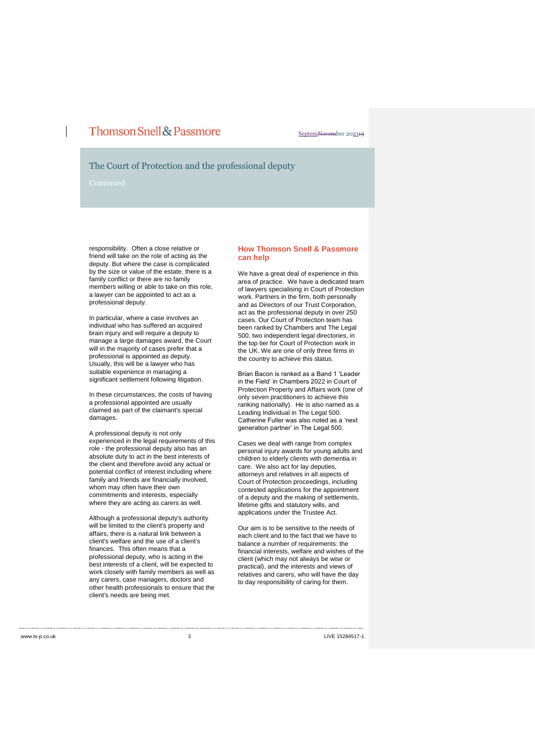## The Court of Protection and the professional deputy

responsibility. Often a close relative or friend will take on the role of acting as the deputy. But where the case is complicated by the size or value of the estate, there is a family conflict or there are no family members willing or able to take on this role, a lawyer can be appointed to act as a professional deputy.

In particular, where a case involves an individual who has suffered an acquired brain injury and will require a deputy to manage a large damages award, the Court will in the majority of cases prefer that a professional is appointed as deputy. Usually, this will be a lawyer who has suitable experience in managing a significant settlement following litigation.

In these circumstances, the costs of having a professional appointed are usually claimed as part of the claimant's special damages.

A professional deputy is not only experienced in the legal requirements of this role - the professional deputy also has an absolute duty to act in the best interests of the client and therefore avoid any actual or potential conflict of interest including where family and friends are financially involved, whom may often have their own commitments and interests, especially where they are acting as carers as well.

Although a professional deputy's authority will be limited to the client's property and affairs, there is a natural link between a client's welfare and the use of a client's finances. This often means that a professional deputy, who is acting in the best interests of a client, will be expected to work closely with family members as well as any carers, case managers, doctors and other health professionals to ensure that the client's needs are being met.

### **How Thomson Snell & Passmore can help**

We have a great deal of experience in this area of practice. We have a dedicated team of lawyers specialising in Court of Protection work. Partners in the firm, both personally and as Directors of our Trust Corporation, act as the professional deputy in over 250 cases. Our Court of Protection team has been ranked by Chambers and The Legal 500, two independent legal directories, in the top tier for Court of Protection work in the UK. We are one of only three firms in the country to achieve this status.

Brian Bacon is ranked as a Band 1 'Leader in the Field' in Chambers 2022 in Court of Protection Property and Affairs work (one of only seven practitioners to achieve this ranking nationally). He is also named as a Leading Individual in The Legal 500. Catherine Fuller was also noted as a 'next generation partner' in The Legal 500.

Cases we deal with range from complex personal injury awards for young adults and children to elderly clients with dementia in care. We also act for lay deputies, attorneys and relatives in all aspects of Court of Protection proceedings, including contested applications for the appointment of a deputy and the making of settlements, lifetime gifts and statutory wills, and applications under the Trustee Act.

Our aim is to be sensitive to the needs of each client and to the fact that we have to balance a number of requirements: the financial interests, welfare and wishes of the client (which may not always be wise or practical), and the interests and views of relatives and carers, who will have the day to day responsibility of caring for them.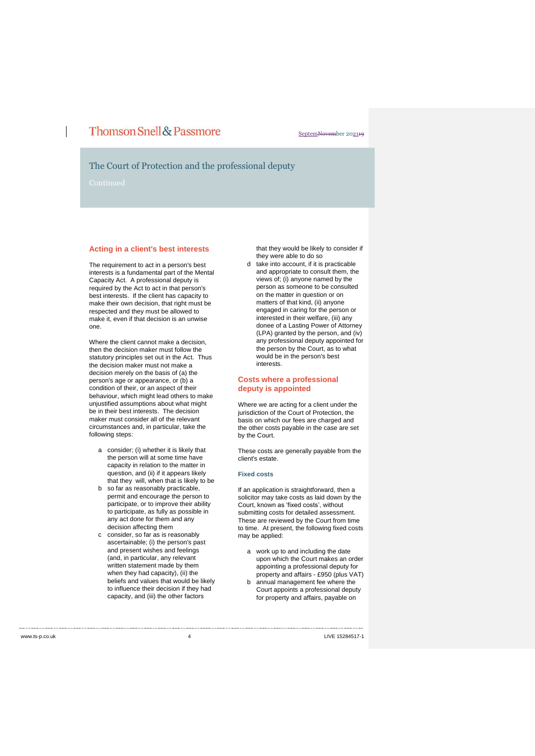### SeptemNovember 202119

### The Court of Protection and the professional deputy

### **Acting in a client's best interests**

The requirement to act in a person's best interests is a fundamental part of the Mental Capacity Act. A professional deputy is required by the Act to act in that person's best interests. If the client has capacity to make their own decision, that right must be respected and they must be allowed to make it, even if that decision is an unwise one.

Where the client cannot make a decision, then the decision maker must follow the statutory principles set out in the Act. Thus the decision maker must not make a decision merely on the basis of (a) the person's age or appearance, or (b) a condition of their, or an aspect of their behaviour, which might lead others to make unjustified assumptions about what might be in their best interests. The decision maker must consider all of the relevant circumstances and, in particular, take the following steps:

- a consider; (i) whether it is likely that the person will at some time have capacity in relation to the matter in question, and (ii) if it appears likely that they will, when that is likely to be
- b so far as reasonably practicable, permit and encourage the person to participate, or to improve their ability to participate, as fully as possible in any act done for them and any decision affecting them
- c consider, so far as is reasonably ascertainable; (i) the person's past and present wishes and feelings (and, in particular, any relevant written statement made by them when they had capacity), (ii) the beliefs and values that would be likely to influence their decision if they had capacity, and (iii) the other factors

that they would be likely to consider if they were able to do so d take into account, if it is practicable and appropriate to consult them, the views of; (i) anyone named by the person as someone to be consulted on the matter in question or on matters of that kind, (ii) anyone engaged in caring for the person or interested in their welfare, (iii) any donee of a Lasting Power of Attorney (LPA) granted by the person, and (iv) any professional deputy appointed for the person by the Court, as to what would be in the person's best interests.

### **Costs where a professional deputy is appointed**

Where we are acting for a client under the jurisdiction of the Court of Protection, the basis on which our fees are charged and the other costs payable in the case are set by the Court.

These costs are generally payable from the client's estate.

#### **Fixed costs**

If an application is straightforward, then a solicitor may take costs as laid down by the Court, known as 'fixed costs', without submitting costs for detailed assessment. These are reviewed by the Court from time to time. At present, the following fixed costs may be applied:

- a work up to and including the date upon which the Court makes an order appointing a professional deputy for property and affairs - £950 (plus VAT)
- b annual management fee where the Court appoints a professional deputy for property and affairs, payable on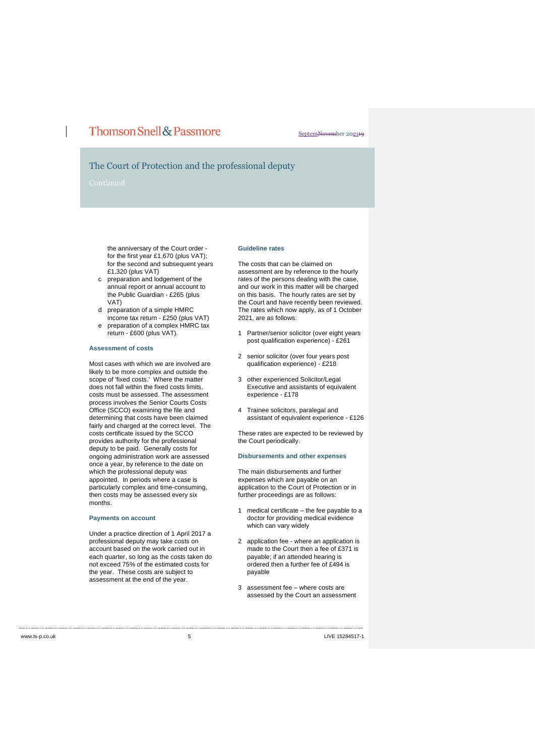## The Court of Protection and the professional deputy

 $\overline{\phantom{a}}$ 

the anniversary of the Court order for the first year £1,670 (plus VAT); for the second and subsequent years £1,320 (plus VAT)

- c preparation and lodgement of the annual report or annual account to the Public Guardian - £265 (plus VAT)
- d preparation of a simple HMRC income tax return - £250 (plus VAT)
- e preparation of a complex HMRC tax return - £600 (plus VAT).

### **Assessment of costs**

Most cases with which we are involved are likely to be more complex and outside the scope of 'fixed costs.' Where the matter does not fall within the fixed costs limits, costs must be assessed. The assessment process involves the Senior Courts Costs Office (SCCO) examining the file and determining that costs have been claimed fairly and charged at the correct level. The costs certificate issued by the SCCO provides authority for the professional deputy to be paid. Generally costs for ongoing administration work are assessed once a year, by reference to the date on which the professional deputy was appointed. In periods where a case is particularly complex and time-consuming, then costs may be assessed every six months.

#### **Payments on account**

Under a practice direction of 1 April 2017 a professional deputy may take costs on account based on the work carried out in each quarter, so long as the costs taken do not exceed 75% of the estimated costs for the year. These costs are subject to assessment at the end of the year.

#### **Guideline rates**

The costs that can be claimed on assessment are by reference to the hourly rates of the persons dealing with the case, and our work in this matter will be charged on this basis. The hourly rates are set by the Court and have recently been reviewed. The rates which now apply, as of 1 October 2021, are as follows:

- 1 Partner/senior solicitor (over eight years post qualification experience) - £261
- 2 senior solicitor (over four years post qualification experience) - £218
- 3 other experienced Solicitor/Legal Executive and assistants of equivalent experience - £178
- 4 Trainee solicitors, paralegal and assistant of equivalent experience - £126

These rates are expected to be reviewed by the Court periodically.

### **Disbursements and other expenses**

The main disbursements and further expenses which are payable on an application to the Court of Protection or in further proceedings are as follows:

- 1 medical certificate the fee payable to a doctor for providing medical evidence which can vary widely
- 2 application fee where an application is made to the Court then a fee of £371 is payable; if an attended hearing is ordered then a further fee of £494 is payable
- 3 assessment fee where costs are assessed by the Court an assessment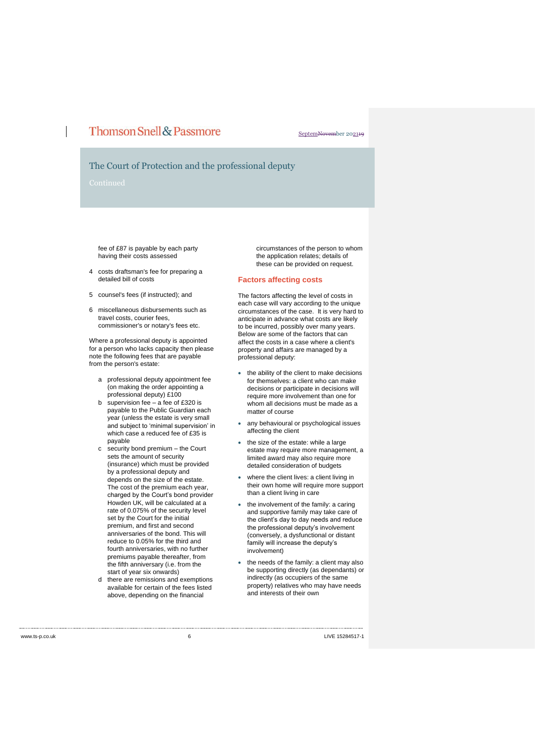### SeptemNovember 202119

## The Court of Protection and the professional deputy

fee of £87 is payable by each party having their costs assessed

- 4 costs draftsman's fee for preparing a detailed bill of costs
- 5 counsel's fees (if instructed); and
- 6 miscellaneous disbursements such as travel costs, courier fees, commissioner's or notary's fees etc.

Where a professional deputy is appointed for a person who lacks capacity then please note the following fees that are payable from the person's estate:

- a professional deputy appointment fee (on making the order appointing a professional deputy) £100
- b supervision fee a fee of £320 is payable to the Public Guardian each year (unless the estate is very small and subject to 'minimal supervision' in which case a reduced fee of £35 is payable
- c security bond premium the Court sets the amount of security (insurance) which must be provided by a professional deputy and depends on the size of the estate. The cost of the premium each year. charged by the Court's bond provider Howden UK, will be calculated at a rate of 0.075% of the security level set by the Court for the initial premium, and first and second anniversaries of the bond. This will reduce to 0.05% for the third and fourth anniversaries, with no further premiums payable thereafter, from the fifth anniversary (i.e. from the start of year six onwards)
- d there are remissions and exemptions available for certain of the fees listed above, depending on the financial

circumstances of the person to whom the application relates; details of these can be provided on request.

### **Factors affecting costs**

The factors affecting the level of costs in each case will vary according to the unique circumstances of the case. It is very hard to anticipate in advance what costs are likely to be incurred, possibly over many years. Below are some of the factors that can affect the costs in a case where a client's property and affairs are managed by a professional deputy:

- the ability of the client to make decisions for themselves: a client who can make decisions or participate in decisions will require more involvement than one for whom all decisions must be made as a matter of course
- any behavioural or psychological issues affecting the client
- the size of the estate: while a large estate may require more management, a limited award may also require more detailed consideration of budgets
- where the client lives: a client living in their own home will require more support than a client living in care
- the involvement of the family: a caring and supportive family may take care of the client's day to day needs and reduce the professional deputy's involvement (conversely, a dysfunctional or distant family will increase the deputy's involvement)
- the needs of the family: a client may also be supporting directly (as dependants) or indirectly (as occupiers of the same property) relatives who may have needs and interests of their own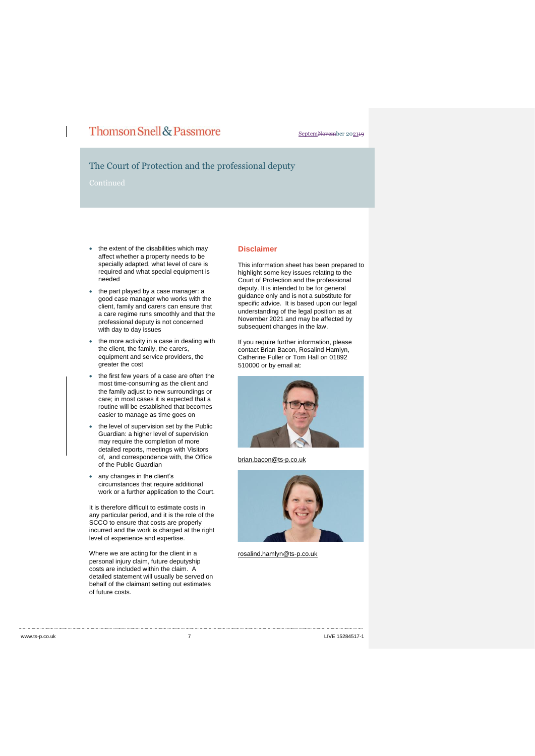### SeptemNovember 202119

## The Court of Protection and the professional deputy

 $\overline{\phantom{a}}$ 

- the extent of the disabilities which may affect whether a property needs to be specially adapted, what level of care is required and what special equipment is needed
- the part played by a case manager: a good case manager who works with the client, family and carers can ensure that a care regime runs smoothly and that the professional deputy is not concerned with day to day issues
- the more activity in a case in dealing with the client, the family, the carers, equipment and service providers, the greater the cost
- the first few years of a case are often the most time-consuming as the client and the family adjust to new surroundings or care; in most cases it is expected that a routine will be established that becomes easier to manage as time goes on
- the level of supervision set by the Public Guardian: a higher level of supervision may require the completion of more detailed reports, meetings with Visitors of, and correspondence with, the Office of the Public Guardian
- any changes in the client's circumstances that require additional work or a further application to the Court.

It is therefore difficult to estimate costs in any particular period, and it is the role of the SCCO to ensure that costs are properly incurred and the work is charged at the right level of experience and expertise.

Where we are acting for the client in a personal injury claim, future deputyship costs are included within the claim. A detailed statement will usually be served on behalf of the claimant setting out estimates of future costs.

### **Disclaimer**

This information sheet has been prepared to highlight some key issues relating to the Court of Protection and the professional deputy. It is intended to be for general guidance only and is not a substitute for specific advice. It is based upon our legal understanding of the legal position as at November 2021 and may be affected by subsequent changes in the law.

If you require further information, please contact Brian Bacon, Rosalind Hamlyn, Catherine Fuller or Tom Hall on 01892 510000 or by email at:



brian.bacon@ts-p.co.uk



[rosalind.hamlyn@ts-p.co.uk](mailto:rosalind.hamlyn@ts-p.co.uk)